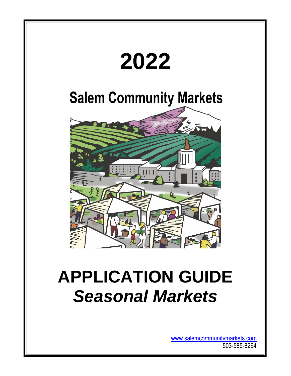

[www.salemcommunitymarkets.com](http://www.salemcommunitymarkets.com/) 503-585-8264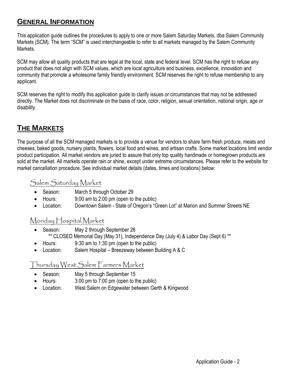# **GENERAL INFORMATION**

This application guide outlines the procedures to apply to one or more Salem Saturday Markets, dba Salem Community Markets (SCM). The term "SCM" is used interchangeable to refer to all markets managed by the Salem Community Markets.

SCM may allow all quality products that are legal at the local, state and federal level. SCM has the right to refuse any product that does not align with SCM values, which are local agriculture and business, excellence, innovation and community that promote a wholesome family friendly environment. SCM reserves the right to refuse membership to any applicant.

SCM reserves the right to modify this application guide to clarify issues or circumstances that may not be addressed directly. The Market does not discriminate on the basis of race, color, religion, sexual orientation, national origin, age or disability.

# **THE MARKETS**

The purpose of all the SCM managed markets is to provide a venue for vendors to share farm fresh produce, meats and cheeses, baked goods, nursery plants, flowers, local food and wines, and artisan crafts. Some market locations limit vendor product participation. All market vendors are juried to assure that only top quality handmade or homegrown products are sold at the market. All markets operate rain or shine, except under extreme circumstances. Please refer to the website for market cancellation procedure. See individual market details (dates, times and locations) below:

# Salem Saturday Market

- Season: March 5 through October 29
- Hours: 9:00 am to 2:00 pm (open to the public)
- Location: Downtown Salem State of Oregon's "Green Lot" at Marion and Summer Streets NE

# Monday Hospital Market

- Season: May 2 through September 26 \*\* CLOSED Memorial Day (May 31), Independence Day (July 4) & Labor Day (Sept 6) \*\*
- Hours: 9:30 am to 1:30 pm (open to the public)
- Location: Salem Hospital Breezeway between Building A & C

# Thursday West Salem Farmers Market

- Season: May 5 through September 15
- Hours: 3:00 pm to 7:00 pm (open to the public)
- Location: West Salem on Edgewater between Gerth & Kingwood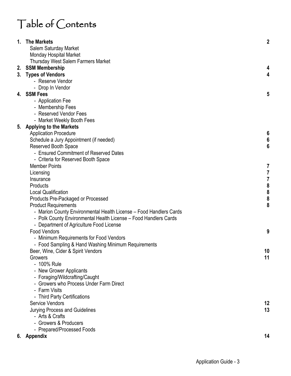# Table of Contents

| 1. The Markets                                                     | $\boldsymbol{2}$                      |
|--------------------------------------------------------------------|---------------------------------------|
| Salem Saturday Market                                              |                                       |
| <b>Monday Hospital Market</b>                                      |                                       |
| <b>Thursday West Salem Farmers Market</b>                          |                                       |
| 2. SSM Membership                                                  | 4                                     |
| 3. Types of Vendors                                                | 4                                     |
| - Reserve Vendor                                                   |                                       |
| - Drop In Vendor                                                   |                                       |
| 4. SSM Fees                                                        | 5                                     |
| - Application Fee                                                  |                                       |
| - Membership Fees                                                  |                                       |
| - Reserved Vendor Fees                                             |                                       |
| - Market Weekly Booth Fees                                         |                                       |
| 5. Applying to the Markets                                         |                                       |
| <b>Application Procedure</b>                                       | $6\phantom{1}6$                       |
| Schedule a Jury Appointment (if needed)                            | $\boldsymbol{6}$                      |
| <b>Reserved Booth Space</b>                                        | $6\phantom{1}6$                       |
| - Ensured Commitment of Reserved Dates                             |                                       |
| - Criteria for Reserved Booth Space                                |                                       |
| <b>Member Points</b>                                               | 7                                     |
| Licensing                                                          | $\overline{7}$                        |
| Insurance                                                          | $\boldsymbol{7}$                      |
| Products                                                           | $\begin{array}{c} 8 \\ 8 \end{array}$ |
| <b>Local Qualification</b>                                         |                                       |
| Products Pre-Packaged or Processed                                 | $\pmb{8}$                             |
| <b>Product Requirements</b>                                        | 8                                     |
| - Marion County Environmental Health License - Food Handlers Cards |                                       |
| - Polk County Environmental Health License - Food Handlers Cards   |                                       |
| - Department of Agriculture Food License                           |                                       |
| <b>Food Vendors</b>                                                | 9                                     |
| - Minimum Requirements for Food Vendors                            |                                       |
| - Food Sampling & Hand Washing Minimum Requirements                |                                       |
| Beer, Wine, Cider & Spirit Vendors                                 | 10                                    |
| Growers                                                            | 11                                    |
| - 100% Rule                                                        |                                       |
| - New Grower Applicants                                            |                                       |
| - Foraging/Wildcrafting/Caught                                     |                                       |
| - Growers who Process Under Farm Direct                            |                                       |
| - Farm Visits                                                      |                                       |
| - Third Party Certifications                                       |                                       |
| <b>Service Vendors</b>                                             | 12                                    |
| Jurying Process and Guidelines                                     | 13                                    |
| - Arts & Crafts                                                    |                                       |
| - Growers & Producers                                              |                                       |
| - Prepared/Processed Foods                                         |                                       |
| 6. Appendix                                                        | 14                                    |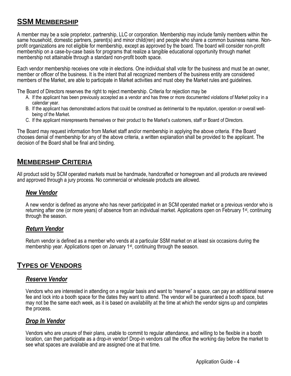# **SSM MEMBERSHIP**

A member may be a sole proprietor, partnership, LLC or corporation. Membership may include family members within the same household, domestic partners, parent(s) and minor child(ren) and people who share a common business name. Nonprofit organizations are not eligible for membership, except as approved by the board. The board will consider non-profit membership on a case-by-case basis for programs that realize a tangible educational opportunity through market membership not attainable through a standard non-profit booth space.

Each vendor membership receives one vote in elections. One individual shall vote for the business and must be an owner, member or officer of the business. It is the intent that all recognized members of the business entity are considered members of the Market, are able to participate in Market activities and must obey the Market rules and guidelines.

The Board of Directors reserves the right to reject membership. Criteria for rejection may be

- A. If the applicant has been previously accepted as a vendor and has three or more documented violations of Market policy in a calendar year.
- B. If the applicant has demonstrated actions that could be construed as detrimental to the reputation, operation or overall wellbeing of the Market.
- C. If the applicant misrepresents themselves or their product to the Market's customers, staff or Board of Directors.

The Board may request information from Market staff and/or membership in applying the above criteria. If the Board chooses denial of membership for any of the above criteria, a written explanation shall be provided to the applicant. The decision of the Board shall be final and binding.

# **MEMBERSHIP CRITERIA**

All product sold by SCM operated markets must be handmade, handcrafted or homegrown and all products are reviewed and approved through a jury process. No commercial or wholesale products are allowed.

#### *New Vendor*

A new vendor is defined as anyone who has never participated in an SCM operated market or a previous vendor who is returning after one (or more years) of absence from an individual market. Applications open on February 1st, continuing through the season.

### *Return Vendor*

Return vendor is defined as a member who vends at a particular SSM market on at least six occasions during the membership year. Applications open on January 1st, continuing through the season.

# **TYPES OF VENDORS**

#### *Reserve Vendor*

Vendors who are interested in attending on a regular basis and want to "reserve" a space, can pay an additional reserve fee and lock into a booth space for the dates they want to attend. The vendor will be guaranteed a booth space, but may not be the same each week, as it is based on availability at the time at which the vendor signs up and completes the process.

### *Drop In Vendor*

Vendors who are unsure of their plans, unable to commit to regular attendance, and willing to be flexible in a booth location, can then participate as a drop-in vendor! Drop-in vendors call the office the working day before the market to see what spaces are available and are assigned one at that time.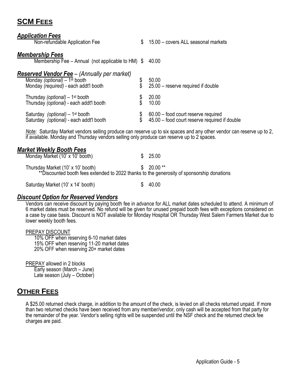# **SCM FEES**

#### *Application Fees*

| <b>Application Fees</b>                                                                    |    |                                                                                                                      |
|--------------------------------------------------------------------------------------------|----|----------------------------------------------------------------------------------------------------------------------|
| Non-refundable Application Fee                                                             | \$ | 15.00 - covers ALL seasonal markets                                                                                  |
| <b>Membership Fees</b>                                                                     |    |                                                                                                                      |
| Membership Fee - Annual (not applicable to HM) $\$                                         |    | 40.00                                                                                                                |
| <b>Reserved Vendor Fee</b> – (Annually per market)<br>Monday (optional) $-1^{st}$ booth    |    | 50.00                                                                                                                |
| Monday (required) - each addt'l booth                                                      |    | 25.00 - reserve required if double                                                                                   |
| Thursday (optional) $-1$ <sup>st</sup> booth<br>Thursday (optional) - each addt'l booth    |    | 20.00<br>10.00                                                                                                       |
|                                                                                            |    |                                                                                                                      |
| Saturday <i>(optional)</i> – 1 <sup>st</sup> booth                                         |    | \$ 60.00 - food court reserve required<br>\$ 45.00 - food court reserve required if double                           |
| Saturday (optional) - each addt'l booth                                                    |    |                                                                                                                      |
| if available. Monday and Thursday vendors selling only produce can reserve up to 2 spaces. |    | Note: Saturday Market vendors selling produce can reserve up to six spaces and any other vendor can reserve up to 2, |
| <b>Market Weekly Booth Fees</b>                                                            |    |                                                                                                                      |
| Monday Market (10' x 10' booth)                                                            | S. | 25.00                                                                                                                |

|  | Thursday Market (10' x 10' booth) |                                                                                            | $$20.00**$ |  |
|--|-----------------------------------|--------------------------------------------------------------------------------------------|------------|--|
|  |                                   | **Discounted booth fees extended to 2022 thanks to the generosity of sponsorship donations |            |  |

Saturday Market (10' x 14' booth)  $$ 40.00$ 

#### *Discount Option for Reserved Vendors*

Vendors can receive discount by paying booth fee in advance for ALL market dates scheduled to attend. A minimum of 6 market dates must be reserved. No refund will be given for unused prepaid booth fees with exceptions considered on a case by case basis. Discount is NOT available for Monday Hospital OR Thursday West Salem Farmers Market due to lower weekly booth fees.

#### PREPAY DISCOUNT

10% OFF when reserving 6-10 market dates 15% OFF when reserving 11-20 market dates 20% OFF when reserving 20+ market dates

PREPAY allowed in 2 blocks Early season (March – June) Late season (July – October)

# **OTHER FEES**

A \$25.00 returned check charge, in addition to the amount of the check, is levied on all checks returned unpaid. If more than two returned checks have been received from any member/vendor, only cash will be accepted from that party for the remainder of the year. Vendor's selling rights will be suspended until the NSF check and the returned check fee charges are paid.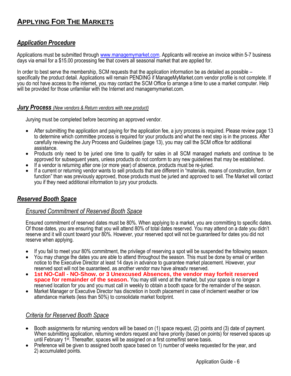# **APPLYING FOR THE MARKETS**

# *Application Procedure*

Applications must be submitted through [www.managemymarket.com.](http://www.managemymarket.com/) Applicants will receive an invoice within 5-7 business days via email for a \$15.00 processing fee that covers all seasonal market that are applied for.

In order to best serve the membership, SCM requests that the application information be as detailed as possible – specifically the product detail. Applications will remain PENDING if ManageMyMarket.com vendor profile is not complete. If you do not have access to the internet, you may contact the SCM Office to arrange a time to use a market computer. Help will be provided for those unfamiliar with the Internet and managemymarket.com.

#### *Jury Process (New vendors & Return vendors with new product)*

Jurying must be completed before becoming an approved vendor.

- After submitting the application and paying for the application fee, a jury process is required. Please review page 13 to determine which committee process is required for your products and what the next step is in the process. After carefully reviewing the Jury Process and Guidelines (page 13), you may call the SCM office for additional assistance.
- Products only need to be juried one time to qualify for sales in all SCM managed markets and continue to be approved for subsequent years, unless products do not conform to any new guidelines that may be established.
- If a vendor is returning after one (or more year) of absence, products must be re-juried.
- If a current or returning vendor wants to sell products that are different in "materials, means of construction, form or function" than was previously approved, those products must be juried and approved to sell. The Market will contact you if they need additional information to jury your products.

### *Reserved Booth Space*

#### *Ensured Commitment of Reserved Booth Space*

Ensured commitment of reserved dates must be 80%. When applying to a market, you are committing to specific dates. Of those dates, you are ensuring that you will attend 80% of total dates reserved. You may attend on a date you didn't reserve and it will count toward your 80%. However, your reserved spot will not be guaranteed for dates you did not reserve when applying.

- If you fail to meet your 80% commitment, the privilege of reserving a spot will be suspended the following season.
- You may change the dates you are able to attend throughout the season. This must be done by email or written notice to the Executive Director at least 14 days in advance to guarantee market placement. However, your reserved spot will not be guaranteed, as another vendor may have already reserved.
- **1st NO-Call - NO-Show, or 3 Unexcused Absences, the vendor may forfeit reserved space for remainder of the season.** You may still vend at the market, but your space is no longer a reserved location for you and you must call in weekly to obtain a booth space for the remainder of the season.
- Market Manager or Executive Director has discretion in booth placement in case of inclement weather or low attendance markets (less than 50%) to consolidate market footprint.

### *Criteria for Reserved Booth Space*

- Booth assignments for returning vendors will be based on (1) space request, (2) points and (3) date of payment. When submitting application, returning vendors request and have priority (based on points) for reserved spaces up until February 1<sup>st</sup>. Thereafter, spaces will be assigned on a first come/first serve basis.
- Preference will be given to assigned booth space based on 1) number of weeks requested for the year, and 2) accumulated points.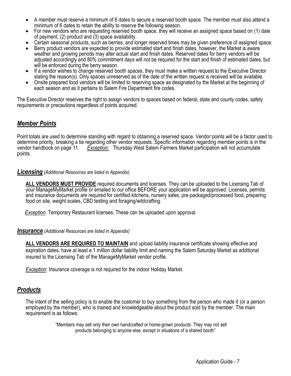- A member must reserve a minimum of 6 dates to secure a reserved booth space. The member must also attend a minimum of 6 dates to retain the ability to reserve the following season.
- For new vendors who are requesting reserved booth space, they will receive an assigned space based on (1) date of payment, (2) product and (3) space availability.
- Certain seasonal products, such as berries, and longer reserved times may be given preference of assigned space.
- Berry product vendors are expected to provide estimated start and finish dates, however, the Market is aware weather and growing periods may alter actual start and finish dates. Reserved dates for berry vendors will be adjusted accordingly and 80% commitment days will not be required for the start and finish of estimated dates, but will be enforced during the berry season.
- If a vendor wishes to change reserved booth spaces, they must make a written request to the Executive Director stating the reason(s). Only spaces unreserved as of the date of the written request is received will be available.
- Onsite prepared food vendors will be limited to reserving space as designated by the Market at the beginning of each season and as it pertains to Salem Fire Department fire codes.

The Executive Director reserves the right to assign vendors to spaces based on federal, state and county codes, safety requirements or precautions regardless of points acquired.

## *Member Points*

Point totals are used to determine standing with regard to obtaining a reserved space. Vendor points will be a factor used to determine priority, breaking a tie regarding other vendor requests. Specific information regarding member points is in the vendor handbook on page 11. *Exception:* Thursday West Salem Farmers Market participation will not accumulate points.

#### *Licensing (Additional Resources are listed in Appendix)*

**ALL VENDORS MUST PROVIDE** required documents and licenses. They can be uploaded to the Licensing Tab of your ManageMyMarket profile or emailed to our office BEFORE your application will be approved. Licenses, permits and insurance documents are required for certified kitchens, nursery sales, pre-packaged/processed food, preparing food on site, weight scales, CBD testing and foraging/wildcrafting.

*Exception*: Temporary Restaurant licenses. These can be uploaded upon approval.

#### *Insurance (Additional Resources are listed in Appendix)*

**ALL VENDORS ARE REQUIRED TO MAINTAIN** and upload liability insurance certificate showing effective and expiration dates, have at least a 1 million dollar liability limit and naming the Salem Saturday Market as additional insured to the Licensing Tab of the ManageMyMarket vendor profile.

*Exception*: Insurance coverage is not required for the indoor Holiday Market.

#### *Products*

The intent of the selling policy is to enable the customer to buy something from the person who made it (or a person employed by the member), who is trained and knowledgeable about the product sold by the member. The main requirement is as follows:

> "Members may sell only their own handcrafted or home-grown products. They may not sell products belonging to anyone else, except in situations of a shared booth"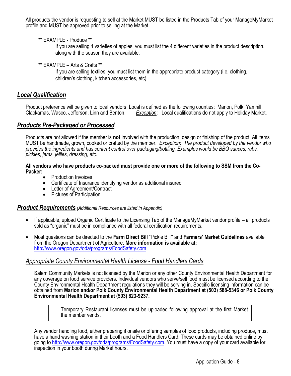All products the vendor is requesting to sell at the Market MUST be listed in the Products Tab of your ManageMyMarket profile and MUST be approved prior to selling at the Market.

\*\* EXAMPLE - Produce \*\*

If you are selling 4 varieties of apples, you must list the 4 different varieties in the product description, along with the season they are available.

\*\* EXAMPLE – Arts & Crafts \*\*

If you are selling textiles, you must list them in the appropriate product category (i.e. clothing, children's clothing, kitchen accessories, etc)

# *Local Qualification*

Product preference will be given to local vendors. Local is defined as the following counties: Marion, Polk, Yamhill, Clackamas, Wasco, Jefferson, Linn and Benton. *Exception*: Local qualifications do not apply to Holiday Market.

## *Products Pre-Packaged or Processed*

Products are not allowed if the member is **not** involved with the production, design or finishing of the product. All items MUST be handmade, grown, cooked or crafted by the member. *Exception*: *The product developed by the vendor who provides the ingredients and has content control over packaging/bottling. Examples would be BBQ sauces, rubs, pickles, jams, jellies, dressing, etc.*

#### **All vendors who have products co-packed must provide one or more of the following to SSM from the Co-Packer:**

- Production Invoices
- Certificate of Insurance identifying vendor as additional insured
- Letter of Agreement/Contract
- Pictures of Participation

#### *Product Requirements (Additional Resources are listed in Appendix)*

- If applicable, upload Organic Certificate to the Licensing Tab of the ManageMyMarket vendor profile all products sold as "organic" must be in compliance with all federal certification requirements.
- Most questions can be directed to the **Farm Direct Bill** "Pickle Bill**"** and **Farmers' Market Guidelines** available from the Oregon Department of Agriculture. **More information is available at:** <http://www.oregon.gov/oda/programs/FoodSafety.com>

### *Appropriate County Environmental Health License - Food Handlers Cards*

Salem Community Markets is not licensed by the Marion or any other County Environmental Health Department for any coverage on food service providers. Individual vendors who serve/sell food must be licensed according to the County Environmental Health Department regulations they will be serving in. Specific licensing information can be obtained from **Marion and/or Polk County Environmental Health Department at (503) 588-5346 or Polk County Environmental Health Department at (503) 623-9237.**

> Temporary Restaurant licenses must be uploaded following approval at the first Market the member vends.

Any vendor handling food, either preparing it onsite or offering samples of food products, including produce, must have a hand washing station in their booth and a Food Handlers Card. These cards may be obtained online by going to [http://www.oregon.gov/oda/programs/FoodSafety.com.](http://www.oregon.gov/oda/programs/FoodSafety.com) You must have a copy of your card available for inspection in your booth during Market hours.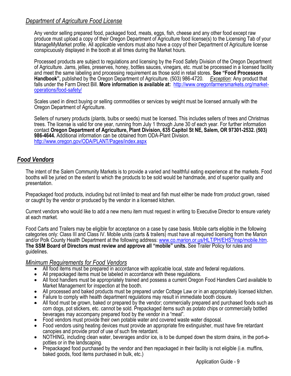## *Department of Agriculture Food License*

Any vendor selling prepared food, packaged food, meats, eggs, fish, cheese and any other food except raw produce must upload a copy of their Oregon Department of Agriculture food license(s) to the Licensing Tab of your ManageMyMarket profile. All applicable vendors must also have a copy of their Department of Agriculture license conspicuously displayed in the booth at all times during the Market hours.

Processed products are subject to regulations and licensing by the Food Safety Division of the Oregon Department of Agriculture. Jams, jellies, preserves, honey, bottles sauces, vinegars, etc. must be processed in a licensed facility and meet the same labeling and processing requirement as those sold in retail stores. **See "Food Processors Handbook",** published by the Oregon Department of Agriculture. (503) 986-4720. *Exception*: Any product that falls under the Farm Direct Bill. **More information is available at:** [http://www.oregonfarmersmarkets.org/market](http://www.oregonfarmersmarkets.org/market-operations/food-safety/)[operations/food-safety/](http://www.oregonfarmersmarkets.org/market-operations/food-safety/)

Scales used in direct buying or selling commodities or services by weight must be licensed annually with the Oregon Department of Agriculture.

Sellers of nursery products (plants, bulbs or seeds) must be licensed. This includes sellers of trees and Christmas trees. The license is valid for one year, running from July 1 through June 30 of each year. For further information contact **Oregon Department of Agriculture, Plant Division, 635 Capitol St NE, Salem, OR 97301-2532. (503) 986-4644.** Additional information can be obtained from ODA-Plant Division. <http://www.oregon.gov/ODA/PLANT/Pages/index.aspx>

### *Food Vendors*

The intent of the Salem Community Markets is to provide a varied and healthful eating experience at the markets. Food booths will be juried on the extent to which the products to be sold would be handmade, and of superior quality and presentation.

Prepackaged food products, including but not limited to meat and fish must either be made from product grown, raised or caught by the vendor or produced by the vendor in a licensed kitchen.

Current vendors who would like to add a new menu item must request in writing to Executive Director to ensure variety at each market.

Food Carts and Trailers may be eligible for acceptance on a case by case basis. Mobile carts eligible in the following categories only: Class III and Class IV. Mobile units (carts & trailers) must have all required licensing from the Marion and/or Polk County Health Department at the following address: [www.co.marion.or.us/HLT/PH/EHS?insp/mobile.htm.](http://www.co.marion.or.us/HLT/PH/EHS?insp/mobile.htm) **The SSM Board of Directors must review and approve all "mobile" units.** See Trailer Policy for rules and guidelines.

#### *Minimum Requirements for Food Vendors*

- All food items must be prepared in accordance with applicable local, state and federal regulations.
- All prepackaged items must be labeled in accordance with these regulations.
- All food handlers must be appropriately trained and possess a current Oregon Food Handlers Card available to Market Management for inspection at the booth.
- All processed and baked products must be prepared under Cottage Law or in an appropriately licensed kitchen.
- Failure to comply with health department regulations may result in immediate booth closure.
- All food must be grown, baked or prepared by the vendor; commercially prepared and purchased foods such as corn dogs, pot stickers, etc. cannot be sold. Prepackaged items such as potato chips or commercially bottled beverages may accompany prepared food by the vendor in a "meal".
- Food vendors must provide their own potable water and covered waste water disposal.
- Food vendors using heating devices must provide an appropriate fire extinguisher, must have fire retardant canopies and provide proof of use of such fire retardant.
- NOTHING, including clean water, beverages and/or ice, is to be dumped down the storm drains, in the port-apotties or in the landscaping.
- Prepackaged food purchased by the vendor and then repackaged in their facility is not eligible (i.e. muffins, baked goods, food items purchased in bulk, etc.)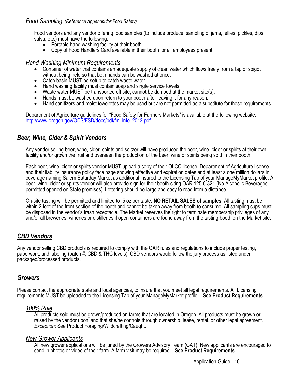#### *Food Sampling (Reference Appendix for Food Safety)*

Food vendors and any vendor offering food samples (to include produce, sampling of jams, jellies, pickles, dips, salsa, etc.) must have the following:

- Portable hand washing facility at their booth.
- Copy of Food Handlers Card available in their booth for all employees present.

#### *Hand Washing Minimum Requirements*

- Container of water that contains an adequate supply of clean water which flows freely from a tap or spigot without being held so that both hands can be washed at once.
- Catch basin MUST be setup to catch waste water.
- Hand washing facility must contain soap and single service towels
- Waste water MUST be transported off site, cannot be dumped at the market site(s).
- Hands must be washed upon return to your booth after leaving it for any reason.
- Hand sanitizers and moist towelettes may be used but are not permitted as a substitute for these requirements.

Department of Agriculture guidelines for "Food Safety for Farmers Markets" is available at the following website: [http://www.oregon.gov/ODS/FSD/docs/pdf/fm\\_info\\_2012.pdf](http://www.oregon.gov/ODS/FSD/docs/pdf/fm_info_2012.pdf)

#### *Beer, Wine, Cider & Spirit Vendors*

Any vendor selling beer, wine, cider, spirits and seltzer will have produced the beer, wine, cider or spirits at their own facility and/or grown the fruit and overseen the production of the beer, wine or spirits being sold in their booth.

Each beer, wine, cider or spirits vendor MUST upload a copy of their OLCC license, Department of Agriculture license and their liability insurance policy face page showing effective and expiration dates and at least a one million dollars in coverage naming Salem Saturday Market as additional insured to the Licensing Tab of your ManageMyMarket profile. A beer, wine, cider or spirits vendor will also provide sign for their booth citing OAR 125-6-321 (No Alcoholic Beverages permitted opened on State premises). Lettering should be large and easy to read from a distance.

On-site tasting will be permitted and limited to .5 oz per taste. **NO RETAIL SALES of samples**. All tasting must be within 2 feet of the front section of the booth and cannot be taken away from booth to consume. All sampling cups must be disposed in the vendor's trash receptacle. The Market reserves the right to terminate membership privileges of any and/or all breweries, wineries or distilleries if open containers are found away from the tasting booth on the Market site.

### *CBD Vendors*

Any vendor selling CBD products is required to comply with the OAR rules and regulations to include proper testing, paperwork, and labeling (batch #, CBD & THC levels). CBD vendors would follow the jury process as listed under packaged/processed products.

### *Growers*

Please contact the appropriate state and local agencies, to insure that you meet all legal requirements. All Licensing requirements MUST be uploaded to the Licensing Tab of your ManageMyMarket profile. **See Product Requirements**

#### *100% Rule*

All products sold must be grown/produced on farms that are located in Oregon. All products must be grown or raised by the vendor upon land that she/he controls through ownership, lease, rental, or other legal agreement. **Exception: See Product Foraging/Wildcrafting/Caught.** 

#### *New Grower Applicants*

All new grower applications will be juried by the Growers Advisory Team (GAT). New applicants are encouraged to send in photos or video of their farm. A farm visit may be required. **See Product Requirements**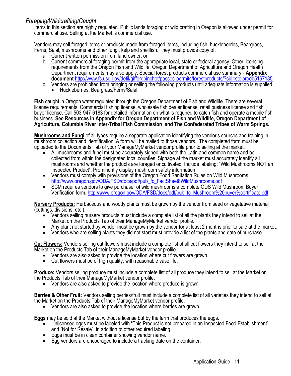# *Foraging/Wildcrafting/Caught*

Items in this section are highly regulated. Public lands foraging or wild crafting in Oregon is allowed under permit for commercial use. Selling at the Market is commercial use.

Vendors may sell foraged items or products made from foraged items, including fish, huckleberries, Beargrass, Ferns, Salal, mushrooms and other fungi, kelp and shellfish. They must provide copy of:

- a. Current written permission from land owner, or
- b. Current commercial foraging permit from the appropriate local, state or federal agency. Other licensing requirements from the Oregon Fish and Wildlife, Oregon Department of Agriculture and Oregon Health Department requirements may also apply. Special forest products commercial use summary - **Appendix document** <http://www.fs.usd.gov/detil/giffordpinchot/passes-permits/forestproducts/?cid=stelprodb5167185>
- c. Vendors are prohibited from bringing or selling the following products until adequate information is supplied
	- Huckleberries, Beargrass/Ferns/Salal

**Fish** caught in Oregon water regulated through the Oregon Department of Fish and Wildlife. There are several license requirements: Commercial fishing license, wholesale fish dealer license, retail business license and fish buyer license. Call 503-947-6183 for detailed information on what is required to catch fish and operate a mobile fish business. **See Resources in Appendix for Oregon Department of Fish and Wildlife, Oregon Department of Agriculture, Columbia River Inter-Tribal Fish Commission and The Confederated Tribes of Warm Springs.**

**Mushrooms and Fungi** of all types require a separate application identifying the vendor's sources and training in mushroom collection and identification. A form will be mailed to those vendors. The completed form must be uploaded to the Documents Tab of your ManageMyMarket vendor profile prior to selling at the market.

- All mushrooms and fungi must be accurately signed with both the Latin and common name and be collected from within the designated local counties. Signage at the market must accurately identify all mushrooms and whether the products are foraged or cultivated. Include labeling: "Wild Mushrooms NOT an Inspected Product". Prominently display mushroom safety information.
- Vendors must comply with provisions of the Oregon Food Sanitation Rules on Wild Mushrooms [http://www.oregon.gov/ODA/FSD/docs/pdf/pub\\_fc\\_FactSheet8WildMushrooms.pdf](http://www.oregon.gov/ODA/FSD/docs/pdf/pub_fc_FactSheet8WildMushrooms.pdf)
- SCM requires vendors to give purchaser of wild mushrooms a complete ODS Wild Mushroom Buyer Verification form. [http://www.oregon.gov/ODA/FSD/docs/pdf/pub\\_fc\\_Mushroom%20buyer%certificate.pdf](http://www.oregon.gov/ODA/FSD/docs/pdf/pub_fc_Mushroom%20buyer%certificate.pdf)

**Nursery Products:** Herbaceous and woody plants must be grown by the vendor from seed or vegetative material (cuttings, divisions, etc.).

- Vendors selling nursery products must include a complete list of all the plants they intend to sell at the Market on the Products Tab of their ManageMyMarket vendor profile.
- Any plant not started by vendor must be grown by the vendor for at least 2 months prior to sale at the market.
- Vendors who are selling plants they did not start must provide a list of the plants and date of purchase.

**Cut Flowers:** Vendors selling cut flowers must include a complete list of all cut flowers they intend to sell at the Market on the Products Tab of their ManageMyMarket vendor profile.

- Vendors are also asked to provide the location where cut flowers are grown.
- Cut flowers must be of high quality, with reasonable vase life.

**Produce:** Vendors selling produce must include a complete list of all produce they intend to sell at the Market on the Products Tab of their ManageMyMarket vendor profile.

Vendors are also asked to provide the location where produce is grown.

**Berries & Other Fruit:** Vendors selling berries/fruit must include a complete list of all varieties they intend to sell at the Market on the Products Tab of their ManageMyMarket vendor profile.

Vendors are also asked to provide the location where berries are grown.

**Eggs** may be sold at the Market without a license but by the farm that produces the eggs.

- $\bullet$  Unlicensed eggs must be labeled with "This Product is not prepared in an Inspected Food Establishment" and "Not for Resale", in addition to other required labeling.
- Eggs must be in clean container showing vendor name.
- Egg vendors are encouraged to include a tracking date on the container.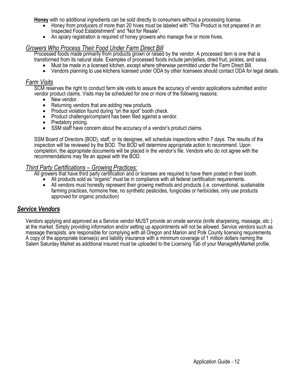**Honey** with no additional ingredients can be sold directly to consumers without a processing license.

- Honey from producers of more than 20 hives must be labeled with "This Product is not prepared in an Inspected Food Establishment" and "Not for Resale".
- An apiary registration is required of honey growers who manage five or more hives.

#### *Growers Who Process Their Food Under Farm Direct Bill*

Processed foods made primarily from products grown or raised by the vendor. A processed item is one that is transformed from its natural state. Examples of processed foods include jam/jellies, dried fruit, pickles, and salsa.

- Must be made in a licensed kitchen, except where otherwise permitted under the Farm Direct Bill.
- Vendors planning to use kitchens licensed under ODA by other licensees should contact ODA for legal details.

#### *Farm Visits*

SCM reserves the right to conduct farm site visits to assure the accuracy of vendor applications submitted and/or vendor product claims. Visits may be scheduled for one or more of the following reasons:

- New vendor.
- Returning vendors that are adding new products.
- Product violation found during "on the spot" booth check.
- Product challenge/complaint has been filed against a vendor.
- Predatory pricing.
- SSM staff have concern about the accuracy of a vendor's product claims.

SSM Board of Directors (BOD), staff, or its designee, will schedule inspections within 7 days. The results of the inspection will be reviewed by the BOD. The BOD will determine appropriate action to recommend. Upon completion, the appropriate documents will be placed in the vendor's file. Vendors who do not agree with the recommendations may file an appeal with the BOD.

#### *Third Party Certifications – Growing Practices:*

All growers that have third party certification and or licenses are required to have them posted in their booth.

- All products sold as "organic" must be in compliance with all federal certification requirements.
- All vendors must honestly represent their growing methods and products (i.e. conventional, sustainable farming practices, hormone free, no synthetic pesticides, fungicides or herbicides, only use products approved for organic production)

### *Service Vendors*

Vendors applying and approved as a Service vendor MUST provide an onsite service (knife sharpening, massage, etc.) at the market. Simply providing information and/or setting up appointments will not be allowed. Service vendors such as massage therapists, are responsible for complying with all Oregon and Marion and Polk County licensing requirements. A copy of the appropriate license(s) and liability insurance with a minimum coverage of 1 million dollars naming the Salem Saturday Market as additional insured must be uploaded to the Licensing Tab of your ManageMyMarket profile.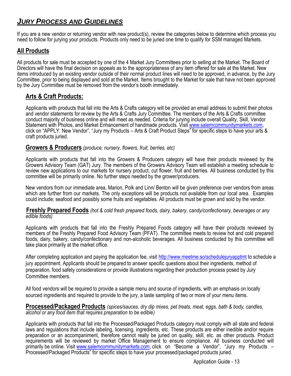# *JURY PROCESS AND GUIDELINES*

If you are a new vendor or returning vendor with new product(s), review the categories below to determine which process you need to follow for jurying your products. Products only need to be juried one time to qualify for SSM managed Markets.

## **All Products**

All products for sale must be accepted by one of the 4 Market Jury Committees prior to selling at the Market. The Board of Directors will have the final decision on appeals as to the appropriateness of any item offered for sale at the Market. New items introduced by an existing vendor outside of their normal product lines will need to be approved, in advance, by the Jury Committee, prior to being displayed and sold at the Market. Items brought to the Market for sale that have not been approved by the Jury Committee must be removed from the vendor's booth immediately.

## **Arts & Craft Products:**

Applicants with products that fall into the Arts & Crafts category will be provided an email address to submit their photos and vendor statements for review by the Arts & Crafts Jury Committee. The members of the Arts & Crafts committee conduct majority of business online and will meet as needed. Criteria for jurying include overall Quality, Skill, Vendor Statement with Photos, and Market Enhancement of handmade products. Visit [www.salemcommunitymarkets.com,](http://www.salemcommunitymarkets.com/) click on "APPLY: New Vendor", "Jury my Products – Arts & Craft Product Steps" for specific steps to have your arts & craft products juried.

#### **Growers & Producers** *(produce, nursery, flowers, fruit, berries, etc)*

Applicants with products that fall into the Growers & Producers category will have their products reviewed by the Growers Advisory Team (GAT) Jury. The members of the Growers Advisory Team will establish a meeting schedule to review new applications to our markets for nursery product, cut flower, fruit and berries. All business conducted by this committee will be primarily online. No further steps needed by the grower/producers.

New vendors from our immediate area, Marion, Polk and Linn/ Benton will be given preference over vendors from areas which are further from our markets. The only exceptions will be products not available from our local area. Examples could include; seafood and possibly some fruits and vegetables. All products must be grown and sold by the vendor.

**Freshly Prepared Foods** *(hot & cold fresh prepared foods, dairy, bakery, candy/confectionary, beverages or any edible foods)*

Applicants with products that fall into the Freshly Prepared Foods category will have their products reviewed by members of the Freshly Prepared Food Advisory Team (PFAT). The committee meets to review hot and cold prepared foods, dairy, bakery, candy/confectionary and non-alcoholic beverages. All business conducted by this committee will take place primarily at the market office.

After completing application and paying the application fee, visit<http://www.meetme.so/schedulejuryapptmt> to schedule a jury appointment. Applicants should be prepared to answer specific questions about their ingredients, method of preparation, food safety considerations or provide illustrations regarding their production process posed by Jury Committee members.

All food vendors will be required to provide a sample menu and source of ingredients, with an emphasis on locally sourced ingredients and required to provide to the jury, a taste sampling of two or more of your menu items.

**Processed/Packaged Products** *(spices/sauces, dry dip mixes, pet treats, meat, eggs, bath & body, candles, alcohol or any food item that requires preparation to be edible)*

Applicants with products that fall into the Processed/Packaged Products category must comply with all state and federal laws and regulations that include labeling, licensing, ingredients, etc. These products are either inedible and/or require preparation or an accompaniment, therefore cannot really be juried on quality, skill, etc. as other products. Product requirements will be reviewed by market Office Management to ensure compliance. All business conducted will primarily be online. Visi[t www.salemcommunitymarkets.com,](http://www.salemcommunitymarkets.com/) click on "Become a Vendor", "Jury my Products – Processed/Packaged Products" for specific steps to have your processed/packaged products juried.